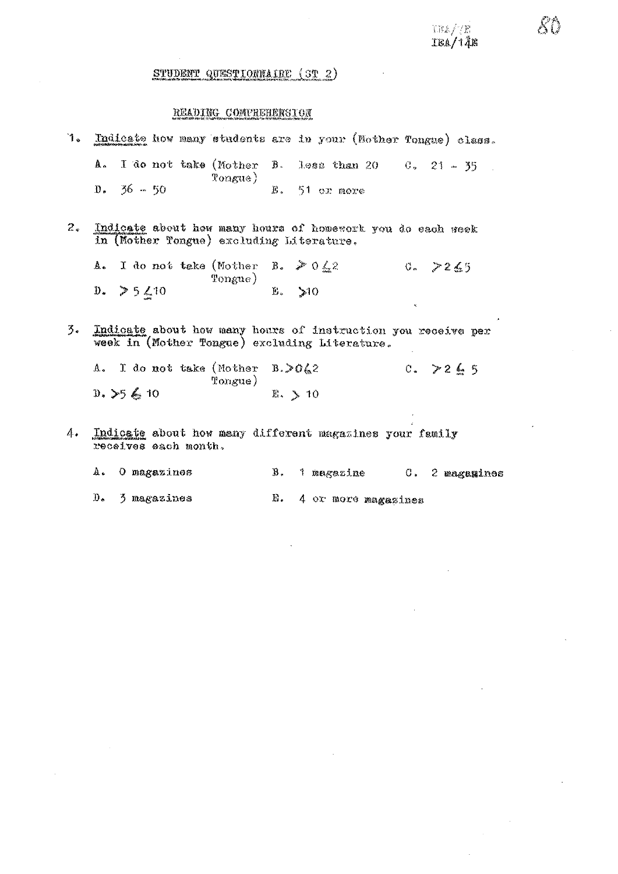TEA/7E<br>IEA/14E

## STUDENT QUESTIONNAIRE (ST 2)

## READING COMPREHENSION

| 1. | Indicate how many students are in your (Mother Tongue) class.                                                 |                   |                          |               |
|----|---------------------------------------------------------------------------------------------------------------|-------------------|--------------------------|---------------|
|    | A. I do not take (Mother B. less than 20 $-0$ , 21 $-35$                                                      |                   |                          |               |
|    | $D_*$ 36 $-50$                                                                                                | $\text{Pongue}$   | E. 51 or nore            |               |
| 2. | Indicate about how many hours of homework you do each week<br>in (Nother Tongue) excluding Literature.        |                   |                          |               |
|    | A. I do not take (Mother B. $\geq 0.42$ )                                                                     | $\texttt{Fongue}$ |                          | 0.7265        |
|    | $D. > 5 \angle 10$                                                                                            |                   | E. > 10                  | K.            |
| 3. | Indicate about how many hours of instruction you receive per<br>week in (Mother Tongue) excluding Literature. |                   |                          |               |
|    | A. I do not take (Mother B. $\geq 0$ 42                                                                       | Tongue)           |                          | $C_*$ > 2 6 5 |
|    | $0.$ > $5.6$ 10                                                                                               |                   | $\mathbb{E}$ . $\geq 10$ |               |
| 4. | Indicate about how many different magazines your family                                                       |                   |                          |               |

- receives each month.
	- $\Lambda$  . O magazines C. 2 magamines B. 1 magazine

3 magazines  $\mathbf{D}_{\bullet}$ E. 4 or more magazines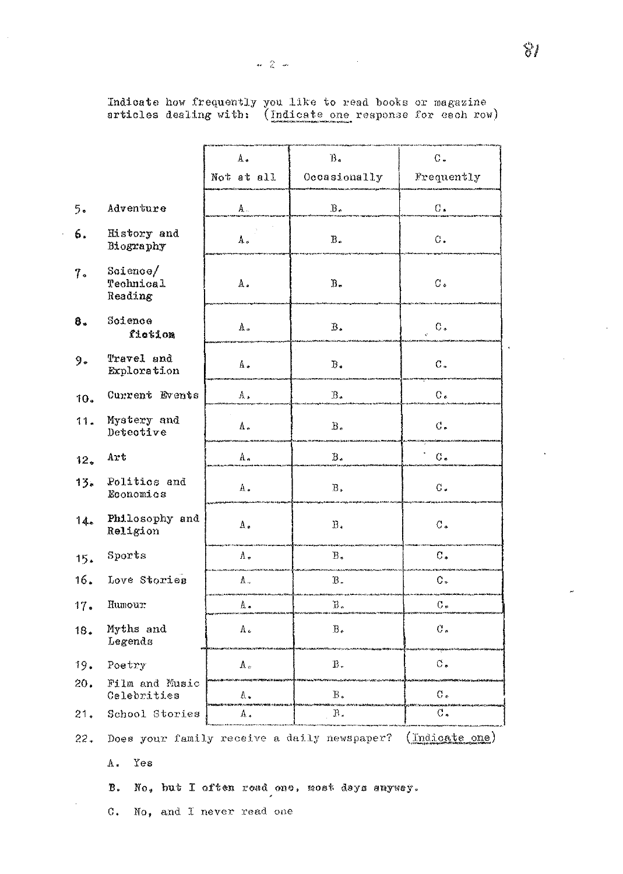Indicate how frequently you like to read books or magazine<br>articles dealing with: (Indicate one response for each row)

|                 |                                                               | B <sub>1</sub><br>Δ,       |                | $C -$           |  |
|-----------------|---------------------------------------------------------------|----------------------------|----------------|-----------------|--|
|                 |                                                               | Not at all<br>Occasionally |                | Frequently      |  |
| 5.              | Adventure                                                     | A.                         | $\rm B$ .      | $\mathrm{G}$ .  |  |
| 6.              | History and<br>Biography                                      | A.                         | $\rm B$ .      | С.              |  |
| 7.              | $S$ cience $/$<br>Technical<br>Reading                        | Α.                         | $B -$          | $C_{\bullet}$   |  |
| 8.              | Science<br>fiction                                            | Λ.                         | $\mathbf B$ .  | $C_{\ast}$      |  |
| 9.              | Travel and<br>Exploration                                     | Á.                         | $\mathbb B$ .  | C.              |  |
| 10.             | Current Events                                                | Α.                         | $B$ .          | $C$ .           |  |
| 11.             | Mystery and<br>Detective                                      | A.,                        | $\rm B$ .      | $\mathcal{C}$ . |  |
| 12 <sub>o</sub> | Art                                                           | A.,                        | Β,             | $G$ .           |  |
| 15.             | Politics and<br>Economics                                     | $\Lambda$ .                | $\mathbf B$ .  | $\mathcal C$ .  |  |
| 14.             | Philosophy and<br>Religion                                    | $\Lambda$ .                | $\rm B$ .      | $\mathcal{C}$ . |  |
| 15.             | Sports                                                        | Λ.                         | $B$ .          | $\mathbb C$ .   |  |
| 16.             | Love Stories                                                  | Λ.,                        | $B -$          | $\mathsf{C}$ .  |  |
| 17.             | Humour                                                        | A.                         | Ъ.             | $C_{\bullet}$   |  |
| 18.             | Myths and<br>Legends                                          | Λ.                         | $B_{\epsilon}$ | $\mathcal C$ .  |  |
| 19.             | Poetry                                                        | $\hbar$ .                  | $\, {\bf B}$ . | $C_{\bullet}$   |  |
| 20.             | Film and Music<br>Celebrities                                 | Λ.                         | Β.             | C.              |  |
| 21.             | School Stories                                                | Λ,                         | Р.             | $\mathcal{C}$ . |  |
| 22.             | Does your family receive a daily newspaper?<br>(Indicate one) |                            |                |                 |  |

A. Yes

 $\bar{z}$ 

No, but I often road one, most days anyway.  $\mathbf B$  .

 $\rm C$  . No, and I never read one  $\boldsymbol{\mu}$